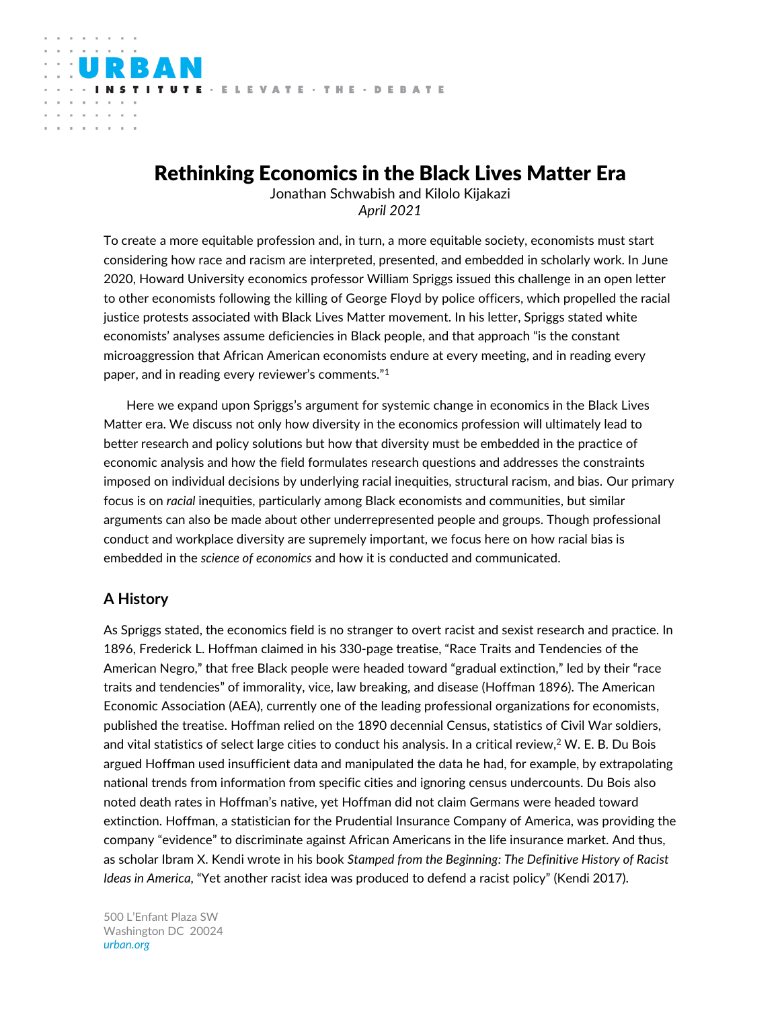# Rethinking Economics in the Black Lives Matter Era

ITUTE · ELEVATE · THE · DEBATE

Jonathan Schwabish and Kilolo Kijakazi *April 2021*

To create a more equitable profession and, in turn, a more equitable society, economists must start considering how race and racism are interpreted, presented, and embedded in scholarly work. In June 2020, Howard University economics professor William Spriggs issued this challenge in an open letter to other economists following the killing of George Floyd by police officers, which propelled the racial justice protests associated with Black Lives Matter movement. In his letter, Spriggs stated white economists' analyses assume deficiencies in Black people, and that approach "is the constant microaggression that African American economists endure at every meeting, and in reading every paper, and in reading every reviewer's comments."<sup>1</sup>

Here we expand upon Spriggs's argument for systemic change in economics in the Black Lives Matter era. We discuss not only how diversity in the economics profession will ultimately lead to better research and policy solutions but how that diversity must be embedded in the practice of economic analysis and how the field formulates research questions and addresses the constraints imposed on individual decisions by underlying racial inequities, structural racism, and bias. Our primary focus is on *racial* inequities, particularly among Black economists and communities, but similar arguments can also be made about other underrepresented people and groups. Though professional conduct and workplace diversity are supremely important, we focus here on how racial bias is embedded in the *science of economics* and how it is conducted and communicated.

# **A History**

and a state

As Spriggs stated, the economics field is no stranger to overt racist and sexist research and practice. In 1896, Frederick L. Hoffman claimed in his 330-page treatise, "Race Traits and Tendencies of the American Negro," that free Black people were headed toward "gradual extinction," led by their "race traits and tendencies" of immorality, vice, law breaking, and disease (Hoffman 1896). The American Economic Association (AEA), currently one of the leading professional organizations for economists, published the treatise. Hoffman relied on the 1890 decennial Census, statistics of Civil War soldiers, and vital statistics of select large cities to conduct his analysis. In a critical review, $^2$  W. E. B. Du Bois argued Hoffman used insufficient data and manipulated the data he had, for example, by extrapolating national trends from information from specific cities and ignoring census undercounts. Du Bois also noted death rates in Hoffman's native, yet Hoffman did not claim Germans were headed toward extinction. Hoffman, a statistician for the Prudential Insurance Company of America, was providing the company "evidence" to discriminate against African Americans in the life insurance market. And thus, as scholar Ibram X. Kendi wrote in his book *Stamped from the Beginning: The Definitive History of Racist Ideas in America*, "Yet another racist idea was produced to defend a racist policy" (Kendi 2017).

500 L'Enfant Plaza SW Washington DC 20024 *urban.org*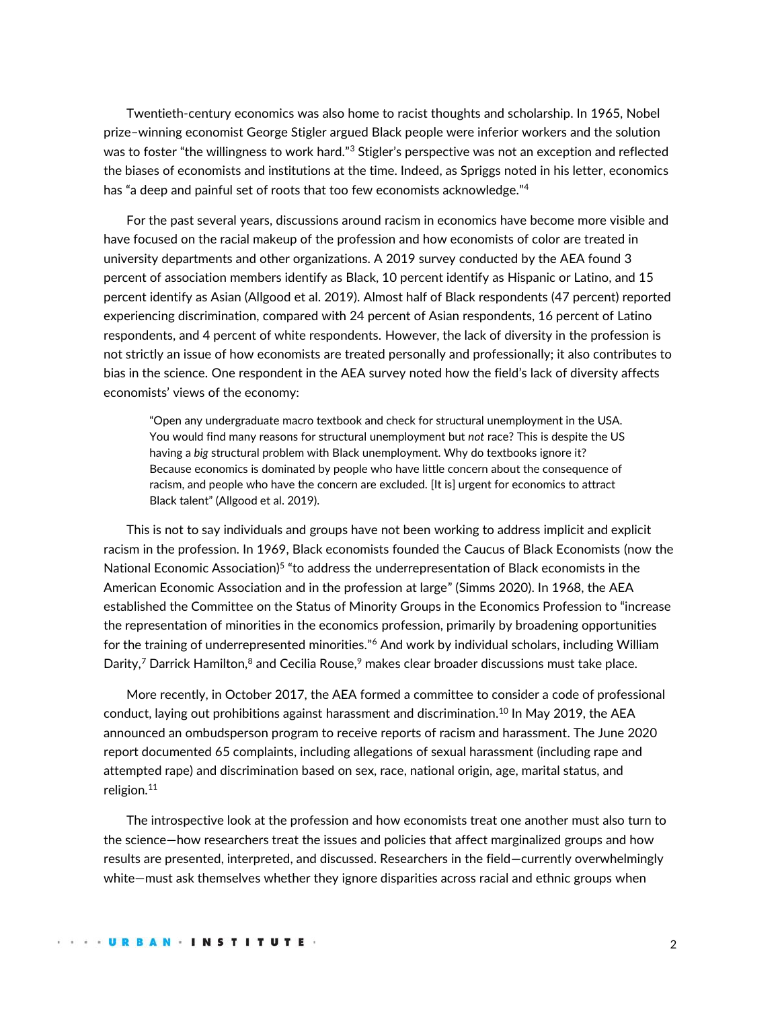Twentieth-century economics was also home to racist thoughts and scholarship. In 1965, Nobel prize–winning economist George Stigler argued Black people were inferior workers and the solution was to foster "the willingness to work hard."<sup>3</sup> Stigler's perspective was not an exception and reflected the biases of economists and institutions at the time. Indeed, as Spriggs noted in his letter, economics has "a deep and painful set of roots that too few economists acknowledge."<sup>4</sup>

For the past several years, discussions around racism in economics have become more visible and have focused on the racial makeup of the profession and how economists of color are treated in university departments and other organizations. A 2019 survey conducted by the AEA found 3 percent of association members identify as Black, 10 percent identify as Hispanic or Latino, and 15 percent identify as Asian (Allgood et al. 2019). Almost half of Black respondents (47 percent) reported experiencing discrimination, compared with 24 percent of Asian respondents, 16 percent of Latino respondents, and 4 percent of white respondents. However, the lack of diversity in the profession is not strictly an issue of how economists are treated personally and professionally; it also contributes to bias in the science. One respondent in the AEA survey noted how the field's lack of diversity affects economists' views of the economy:

"Open any undergraduate macro textbook and check for structural unemployment in the USA. You would find many reasons for structural unemployment but *not* race? This is despite the US having a *big* structural problem with Black unemployment. Why do textbooks ignore it? Because economics is dominated by people who have little concern about the consequence of racism, and people who have the concern are excluded. [It is] urgent for economics to attract Black talent" (Allgood et al. 2019).

This is not to say individuals and groups have not been working to address implicit and explicit racism in the profession. In 1969, Black economists founded the Caucus of Black Economists (now the National Economic Association)<sup>5</sup> "to address the underrepresentation of Black economists in the American Economic Association and in the profession at large" (Simms 2020). In 1968, the AEA established the Committee on the Status of Minority Groups in the Economics Profession to "increase the representation of minorities in the economics profession, primarily by broadening opportunities for the training of underrepresented minorities."<sup>6</sup> And work by individual scholars, including William Darity,<sup>7</sup> Darrick Hamilton, ${}^{8}$  and Cecilia Rouse, ${}^{9}$  makes clear broader discussions must take place.

More recently, in October 2017, the AEA formed a committee to consider a code of professional conduct, laying out prohibitions against harassment and discrimination. <sup>10</sup> In May 2019, the AEA announced an ombudsperson program to receive reports of racism and harassment. The June 2020 report documented 65 complaints, including allegations of sexual harassment (including rape and attempted rape) and discrimination based on sex, race, national origin, age, marital status, and religion.<sup>11</sup>

The introspective look at the profession and how economists treat one another must also turn to the science—how researchers treat the issues and policies that affect marginalized groups and how results are presented, interpreted, and discussed. Researchers in the field—currently overwhelmingly white—must ask themselves whether they ignore disparities across racial and ethnic groups when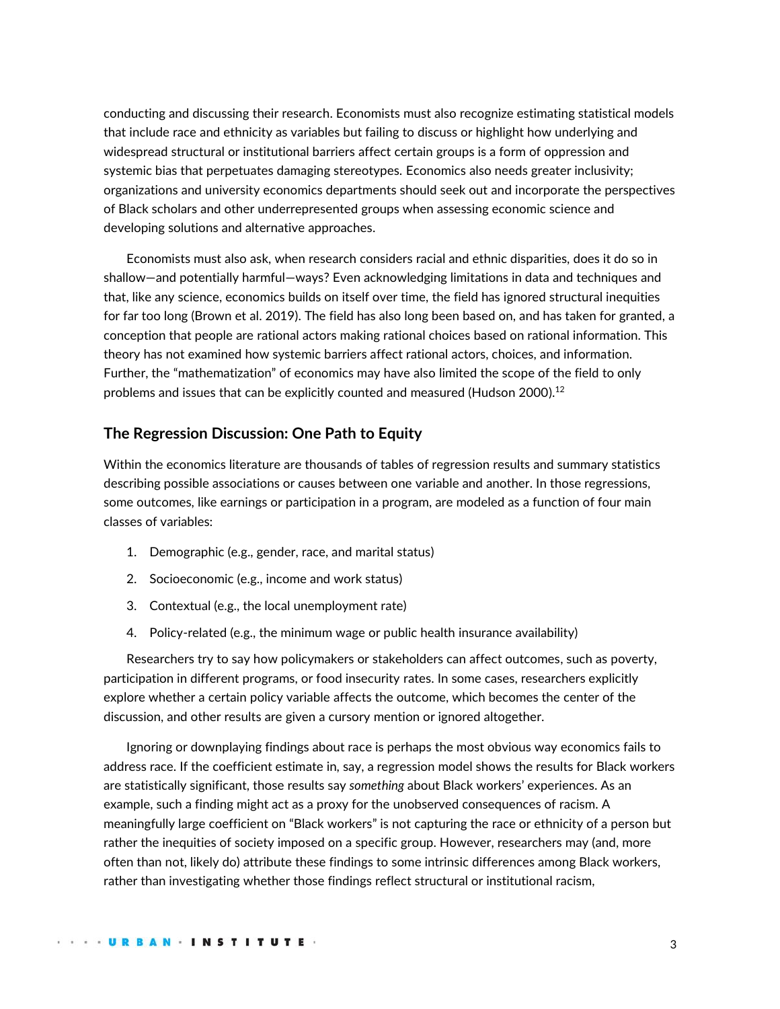conducting and discussing their research. Economists must also recognize estimating statistical models that include race and ethnicity as variables but failing to discuss or highlight how underlying and widespread structural or institutional barriers affect certain groups is a form of oppression and systemic bias that perpetuates damaging stereotypes. Economics also needs greater inclusivity; organizations and university economics departments should seek out and incorporate the perspectives of Black scholars and other underrepresented groups when assessing economic science and developing solutions and alternative approaches.

Economists must also ask, when research considers racial and ethnic disparities, does it do so in shallow—and potentially harmful—ways? Even acknowledging limitations in data and techniques and that, like any science, economics builds on itself over time, the field has ignored structural inequities for far too long (Brown et al. 2019). The field has also long been based on, and has taken for granted, a conception that people are rational actors making rational choices based on rational information. This theory has not examined how systemic barriers affect rational actors, choices, and information. Further, the "mathematization" of economics may have also limited the scope of the field to only problems and issues that can be explicitly counted and measured (Hudson 2000).<sup>12</sup>

# **The Regression Discussion: One Path to Equity**

Within the economics literature are thousands of tables of regression results and summary statistics describing possible associations or causes between one variable and another. In those regressions, some outcomes, like earnings or participation in a program, are modeled as a function of four main classes of variables:

- 1. Demographic (e.g., gender, race, and marital status)
- 2. Socioeconomic (e.g., income and work status)
- 3. Contextual (e.g., the local unemployment rate)
- 4. Policy-related (e.g., the minimum wage or public health insurance availability)

Researchers try to say how policymakers or stakeholders can affect outcomes, such as poverty, participation in different programs, or food insecurity rates. In some cases, researchers explicitly explore whether a certain policy variable affects the outcome, which becomes the center of the discussion, and other results are given a cursory mention or ignored altogether.

Ignoring or downplaying findings about race is perhaps the most obvious way economics fails to address race. If the coefficient estimate in, say, a regression model shows the results for Black workers are statistically significant, those results say *something* about Black workers' experiences. As an example, such a finding might act as a proxy for the unobserved consequences of racism. A meaningfully large coefficient on "Black workers" is not capturing the race or ethnicity of a person but rather the inequities of society imposed on a specific group. However, researchers may (and, more often than not, likely do) attribute these findings to some intrinsic differences among Black workers, rather than investigating whether those findings reflect structural or institutional racism,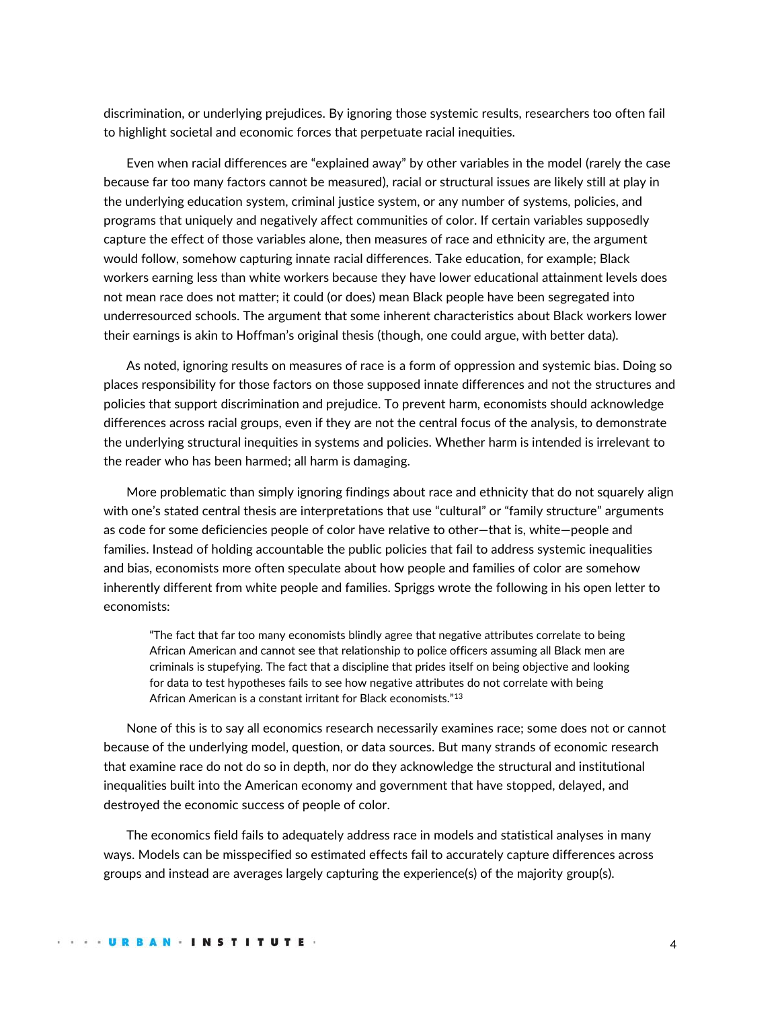discrimination, or underlying prejudices. By ignoring those systemic results, researchers too often fail to highlight societal and economic forces that perpetuate racial inequities.

Even when racial differences are "explained away" by other variables in the model (rarely the case because far too many factors cannot be measured), racial or structural issues are likely still at play in the underlying education system, criminal justice system, or any number of systems, policies, and programs that uniquely and negatively affect communities of color. If certain variables supposedly capture the effect of those variables alone, then measures of race and ethnicity are, the argument would follow, somehow capturing innate racial differences. Take education, for example; Black workers earning less than white workers because they have lower educational attainment levels does not mean race does not matter; it could (or does) mean Black people have been segregated into underresourced schools. The argument that some inherent characteristics about Black workers lower their earnings is akin to Hoffman's original thesis (though, one could argue, with better data).

As noted, ignoring results on measures of race is a form of oppression and systemic bias. Doing so places responsibility for those factors on those supposed innate differences and not the structures and policies that support discrimination and prejudice. To prevent harm, economists should acknowledge differences across racial groups, even if they are not the central focus of the analysis, to demonstrate the underlying structural inequities in systems and policies. Whether harm is intended is irrelevant to the reader who has been harmed; all harm is damaging.

More problematic than simply ignoring findings about race and ethnicity that do not squarely align with one's stated central thesis are interpretations that use "cultural" or "family structure" arguments as code for some deficiencies people of color have relative to other—that is, white—people and families. Instead of holding accountable the public policies that fail to address systemic inequalities and bias, economists more often speculate about how people and families of color are somehow inherently different from white people and families. Spriggs wrote the following in his open letter to economists:

"The fact that far too many economists blindly agree that negative attributes correlate to being African American and cannot see that relationship to police officers assuming all Black men are criminals is stupefying. The fact that a discipline that prides itself on being objective and looking for data to test hypotheses fails to see how negative attributes do not correlate with being African American is a constant irritant for Black economists."<sup>13</sup>

None of this is to say all economics research necessarily examines race; some does not or cannot because of the underlying model, question, or data sources. But many strands of economic research that examine race do not do so in depth, nor do they acknowledge the structural and institutional inequalities built into the American economy and government that have stopped, delayed, and destroyed the economic success of people of color.

The economics field fails to adequately address race in models and statistical analyses in many ways. Models can be misspecified so estimated effects fail to accurately capture differences across groups and instead are averages largely capturing the experience(s) of the majority group(s).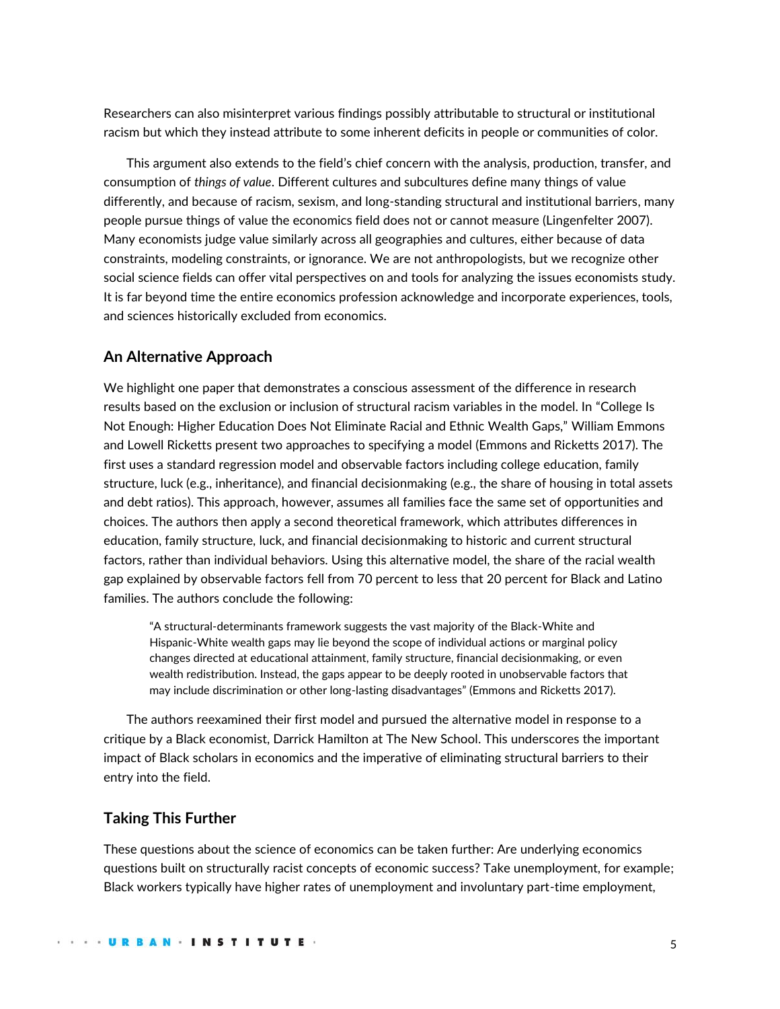Researchers can also misinterpret various findings possibly attributable to structural or institutional racism but which they instead attribute to some inherent deficits in people or communities of color.

This argument also extends to the field's chief concern with the analysis, production, transfer, and consumption of *things of value*. Different cultures and subcultures define many things of value differently, and because of racism, sexism, and long-standing structural and institutional barriers, many people pursue things of value the economics field does not or cannot measure (Lingenfelter 2007). Many economists judge value similarly across all geographies and cultures, either because of data constraints, modeling constraints, or ignorance. We are not anthropologists, but we recognize other social science fields can offer vital perspectives on and tools for analyzing the issues economists study. It is far beyond time the entire economics profession acknowledge and incorporate experiences, tools, and sciences historically excluded from economics.

# **An Alternative Approach**

We highlight one paper that demonstrates a conscious assessment of the difference in research results based on the exclusion or inclusion of structural racism variables in the model. In "College Is Not Enough: Higher Education Does Not Eliminate Racial and Ethnic Wealth Gaps," William Emmons and Lowell Ricketts present two approaches to specifying a model (Emmons and Ricketts 2017). The first uses a standard regression model and observable factors including college education, family structure, luck (e.g., inheritance), and financial decisionmaking (e.g., the share of housing in total assets and debt ratios). This approach, however, assumes all families face the same set of opportunities and choices. The authors then apply a second theoretical framework, which attributes differences in education, family structure, luck, and financial decisionmaking to historic and current structural factors, rather than individual behaviors. Using this alternative model, the share of the racial wealth gap explained by observable factors fell from 70 percent to less that 20 percent for Black and Latino families. The authors conclude the following:

"A structural-determinants framework suggests the vast majority of the Black-White and Hispanic-White wealth gaps may lie beyond the scope of individual actions or marginal policy changes directed at educational attainment, family structure, financial decisionmaking, or even wealth redistribution. Instead, the gaps appear to be deeply rooted in unobservable factors that may include discrimination or other long-lasting disadvantages" (Emmons and Ricketts 2017).

The authors reexamined their first model and pursued the alternative model in response to a critique by a Black economist, Darrick Hamilton at The New School. This underscores the important impact of Black scholars in economics and the imperative of eliminating structural barriers to their entry into the field.

# **Taking This Further**

These questions about the science of economics can be taken further: Are underlying economics questions built on structurally racist concepts of economic success? Take unemployment, for example; Black workers typically have higher rates of unemployment and involuntary part-time employment,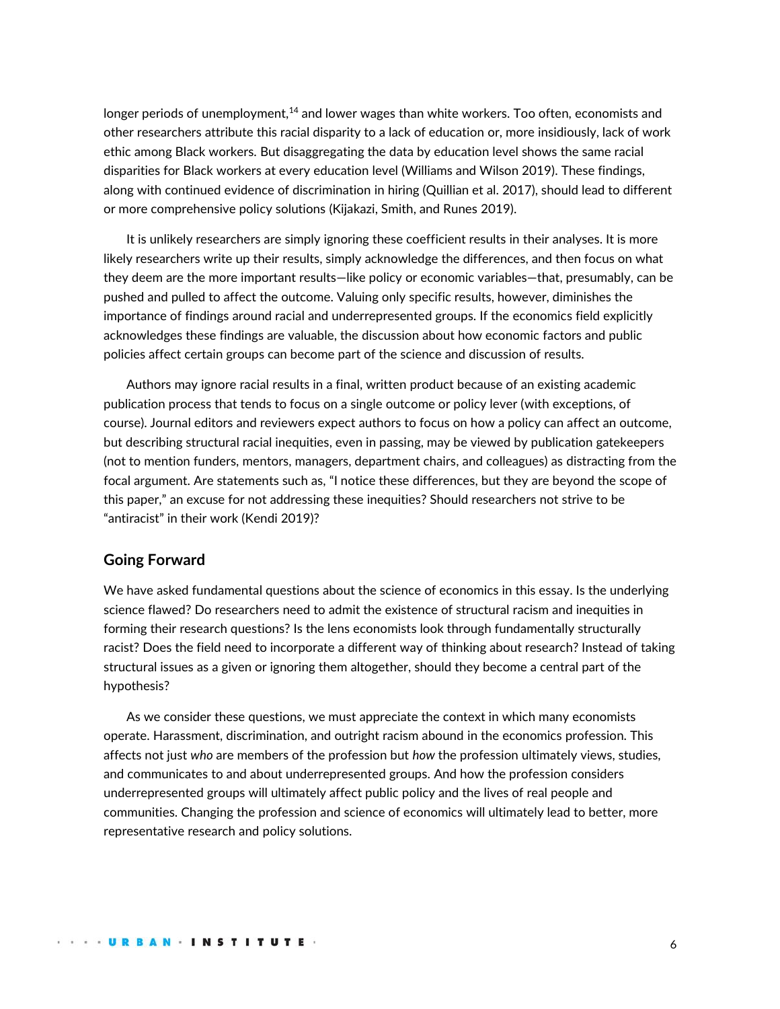longer periods of unemployment, $14$  and lower wages than white workers. Too often, economists and other researchers attribute this racial disparity to a lack of education or, more insidiously, lack of work ethic among Black workers. But disaggregating the data by education level shows the same racial disparities for Black workers at every education level (Williams and Wilson 2019). These findings, along with continued evidence of discrimination in hiring (Quillian et al. 2017), should lead to different or more comprehensive policy solutions (Kijakazi, Smith, and Runes 2019).

It is unlikely researchers are simply ignoring these coefficient results in their analyses. It is more likely researchers write up their results, simply acknowledge the differences, and then focus on what they deem are the more important results—like policy or economic variables—that, presumably, can be pushed and pulled to affect the outcome. Valuing only specific results, however, diminishes the importance of findings around racial and underrepresented groups. If the economics field explicitly acknowledges these findings are valuable, the discussion about how economic factors and public policies affect certain groups can become part of the science and discussion of results.

Authors may ignore racial results in a final, written product because of an existing academic publication process that tends to focus on a single outcome or policy lever (with exceptions, of course). Journal editors and reviewers expect authors to focus on how a policy can affect an outcome, but describing structural racial inequities, even in passing, may be viewed by publication gatekeepers (not to mention funders, mentors, managers, department chairs, and colleagues) as distracting from the focal argument. Are statements such as, "I notice these differences, but they are beyond the scope of this paper," an excuse for not addressing these inequities? Should researchers not strive to be "antiracist" in their work (Kendi 2019)?

### **Going Forward**

We have asked fundamental questions about the science of economics in this essay. Is the underlying science flawed? Do researchers need to admit the existence of structural racism and inequities in forming their research questions? Is the lens economists look through fundamentally structurally racist? Does the field need to incorporate a different way of thinking about research? Instead of taking structural issues as a given or ignoring them altogether, should they become a central part of the hypothesis?

As we consider these questions, we must appreciate the context in which many economists operate. Harassment, discrimination, and outright racism abound in the economics profession. This affects not just *who* are members of the profession but *how* the profession ultimately views, studies, and communicates to and about underrepresented groups. And how the profession considers underrepresented groups will ultimately affect public policy and the lives of real people and communities. Changing the profession and science of economics will ultimately lead to better, more representative research and policy solutions.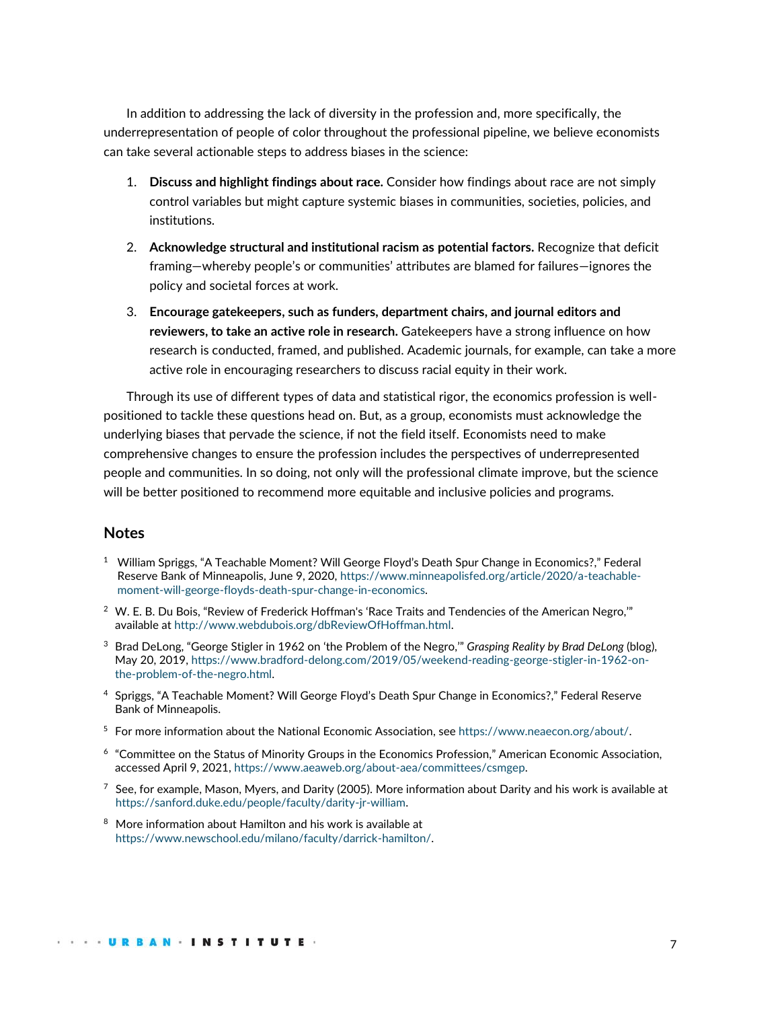In addition to addressing the lack of diversity in the profession and, more specifically, the underrepresentation of people of color throughout the professional pipeline, we believe economists can take several actionable steps to address biases in the science:

- 1. **Discuss and highlight findings about race.** Consider how findings about race are not simply control variables but might capture systemic biases in communities, societies, policies, and institutions.
- 2. **Acknowledge structural and institutional racism as potential factors.** Recognize that deficit framing—whereby people's or communities' attributes are blamed for failures—ignores the policy and societal forces at work.
- 3. **Encourage gatekeepers, such as funders, department chairs, and journal editors and reviewers, to take an active role in research.** Gatekeepers have a strong influence on how research is conducted, framed, and published. Academic journals, for example, can take a more active role in encouraging researchers to discuss racial equity in their work.

Through its use of different types of data and statistical rigor, the economics profession is wellpositioned to tackle these questions head on. But, as a group, economists must acknowledge the underlying biases that pervade the science, if not the field itself. Economists need to make comprehensive changes to ensure the profession includes the perspectives of underrepresented people and communities. In so doing, not only will the professional climate improve, but the science will be better positioned to recommend more equitable and inclusive policies and programs.

# **Notes**

- <sup>1</sup> William Spriggs, "A Teachable Moment? Will George Floyd's Death Spur Change in Economics?," Federal Reserve Bank of Minneapolis, June 9, 2020, [https://www.minneapolisfed.org/article/2020/a-teachable](https://www.minneapolisfed.org/article/2020/a-teachable-moment-will-george-floyds-death-spur-change-in-economics)[moment-will-george-floyds-death-spur-change-in-economics.](https://www.minneapolisfed.org/article/2020/a-teachable-moment-will-george-floyds-death-spur-change-in-economics)
- <sup>2</sup> W. E. B. Du Bois, "Review of Frederick Hoffman's 'Race Traits and Tendencies of the American Negro,"" available at [http://www.webdubois.org/dbReviewOfHoffman.html.](http://www.webdubois.org/dbReviewOfHoffman.html)
- <sup>3</sup> Brad DeLong, "George Stigler in 1962 on 'the Problem of the Negro,'" *Grasping Reality by Brad DeLong* (blog), May 20, 2019, [https://www.bradford-delong.com/2019/05/weekend-reading-george-stigler-in-1962-on](https://www.bradford-delong.com/2019/05/weekend-reading-george-stigler-in-1962-on-the-problem-of-the-negro.html)[the-problem-of-the-negro.html.](https://www.bradford-delong.com/2019/05/weekend-reading-george-stigler-in-1962-on-the-problem-of-the-negro.html)
- <sup>4</sup> Spriggs, "A Teachable Moment? Will George Floyd's Death Spur Change in Economics?," Federal Reserve Bank of Minneapolis.
- $5$  For more information about the National Economic Association, see [https://www.neaecon.org/about/.](https://www.neaecon.org/about/)
- 6 "Committee on the Status of Minority Groups in the Economics Profession," American Economic Association, accessed April 9, 2021, [https://www.aeaweb.org/about-aea/committees/csmgep.](https://www.aeaweb.org/about-aea/committees/csmgep)
- $^7$  See, for example, Mason, Myers, and Darity (2005). More information about Darity and his work is available at [https://sanford.duke.edu/people/faculty/darity-jr-william.](https://sanford.duke.edu/people/faculty/darity-jr-william)
- <sup>8</sup> More information about Hamilton and his work is available at [https://www.newschool.edu/milano/faculty/darrick-hamilton/.](https://www.newschool.edu/milano/faculty/darrick-hamilton/)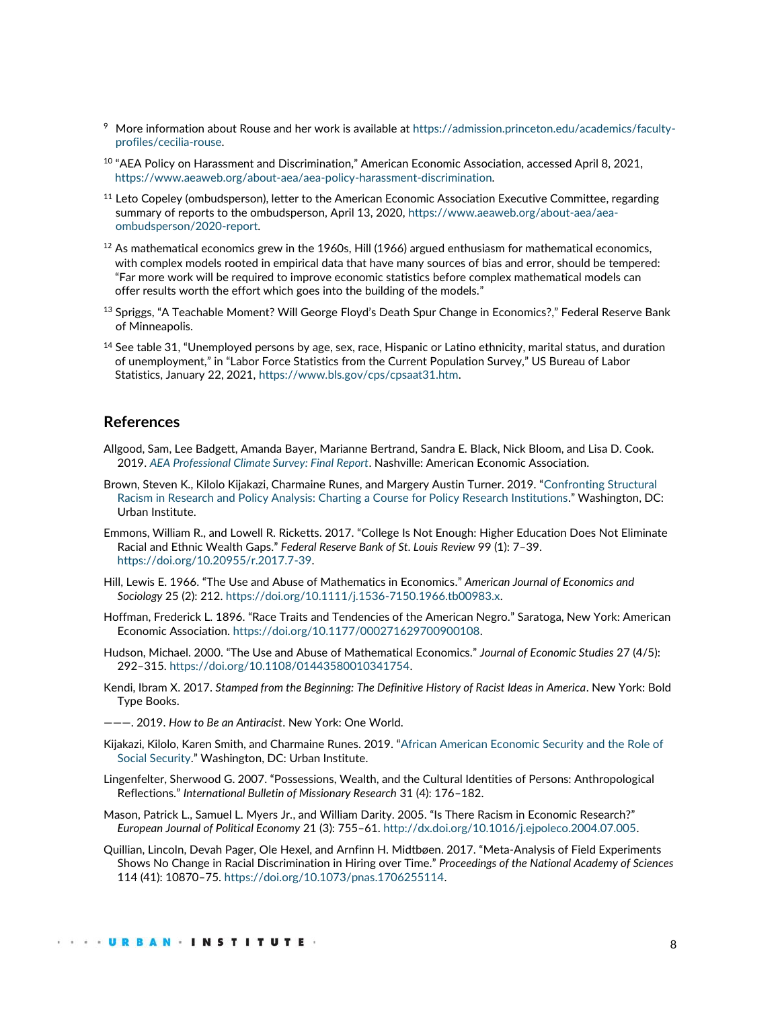- <sup>9</sup> More information about Rouse and her work is available at [https://admission.princeton.edu/academics/faculty](https://admission.princeton.edu/academics/faculty-profiles/cecilia-rouse)[profiles/cecilia-rouse.](https://admission.princeton.edu/academics/faculty-profiles/cecilia-rouse)
- <sup>10</sup> "AEA Policy on Harassment and Discrimination," American Economic Association, accessed April 8, 2021, [https://www.aeaweb.org/about-aea/aea-policy-harassment-discrimination.](https://www.aeaweb.org/about-aea/aea-policy-harassment-discrimination)
- $11$  Leto Copeley (ombudsperson), letter to the American Economic Association Executive Committee, regarding summary of reports to the ombudsperson, April 13, 2020[, https://www.aeaweb.org/about-aea/aea](https://www.aeaweb.org/about-aea/aea-ombudsperson/2020-report)[ombudsperson/2020-report.](https://www.aeaweb.org/about-aea/aea-ombudsperson/2020-report)
- $12$  As mathematical economics grew in the 1960s, Hill (1966) argued enthusiasm for mathematical economics, with complex models rooted in empirical data that have many sources of bias and error, should be tempered: "Far more work will be required to improve economic statistics before complex mathematical models can offer results worth the effort which goes into the building of the models."
- <sup>13</sup> Spriggs, "A Teachable Moment? Will George Floyd's Death Spur Change in Economics?," Federal Reserve Bank of Minneapolis.
- $14$  See table 31, "Unemployed persons by age, sex, race, Hispanic or Latino ethnicity, marital status, and duration of unemployment," in "Labor Force Statistics from the Current Population Survey," US Bureau of Labor Statistics, January 22, 2021, [https://www.bls.gov/cps/cpsaat31.htm.](https://www.bls.gov/cps/cpsaat31.htm)

### **References**

- Allgood, Sam, Lee Badgett, Amanda Bayer, Marianne Bertrand, Sandra E. Black, Nick Bloom, and Lisa D. Cook. 2019. *[AEA Professional Climate Survey: Final Report](https://www.aeaweb.org/resources/member-docs/final-climate-survey-results-sept-2019)*. Nashville: American Economic Association.
- Brown, Steven K., Kilolo Kijakazi, Charmaine Runes, and Margery Austin Turner. 2019. "[Confronting Structural](mailto:https://www.urban.org/research/publication/confronting-structural-racism-research-and-policy-analysis)  Racism in Research and [Policy Analysis: Charting a Course for Policy Research Institutions](mailto:https://www.urban.org/research/publication/confronting-structural-racism-research-and-policy-analysis)." Washington, DC: Urban Institute.
- Emmons, William R., and Lowell R. Ricketts. 2017. "College Is Not Enough: Higher Education Does Not Eliminate Racial and Ethnic Wealth Gaps." *Federal Reserve Bank of St. Louis Review* 99 (1): 7–39. [https://doi.org/10.20955/r.2017.7-39.](https://doi.org/10.20955/r.2017.7-39)
- Hill, Lewis E. 1966. "The Use and Abuse of Mathematics in Economics." *American Journal of Economics and Sociology* 25 (2): 212[. https://doi.org/10.1111/j.1536-7150.1966.tb00983.x.](https://doi.org/10.1111/j.1536-7150.1966.tb00983.x)
- Hoffman, Frederick L. 1896. "Race Traits and Tendencies of the American Negro." Saratoga, New York: American Economic Association. [https://doi.org/10.1177/000271629700900108.](https://doi.org/10.1177%2F000271629700900108)
- Hudson, Michael. 2000. "The Use and Abuse of Mathematical Economics." *Journal of Economic Studies* 27 (4/5): 292–315. [https://doi.org/10.1108/01443580010341754.](https://doi.org/10.1108/01443580010341754)
- Kendi, Ibram X. 2017. *Stamped from the Beginning: The Definitive History of Racist Ideas in America*. New York: Bold Type Books.
- ———. 2019. *How to Be an Antiracist*. New York: One World.
- Kijakazi, Kilolo, Karen Smith, and Charmaine Runes. 2019. "[African American Economic Security and the Role of](https://www.urban.org/research/publication/african-american-economic-security-and-role-social-security)  [Social Security](https://www.urban.org/research/publication/african-american-economic-security-and-role-social-security)." Washington, DC: Urban Institute.
- Lingenfelter, Sherwood G. 2007. "Possessions, Wealth, and the Cultural Identities of Persons: Anthropological Reflections." *International Bulletin of Missionary Research* 31 (4): 176–182.
- Mason, Patrick L., Samuel L. Myers Jr., and William Darity. 2005. "Is There Racism in Economic Research?" *European Journal of Political Economy* 21 (3): 755–61. [http://dx.doi.org/10.1016/j.ejpoleco.2004.07.005.](http://dx.doi.org/10.1016/j.ejpoleco.2004.07.005)
- Quillian, Lincoln, Devah Pager, Ole Hexel, and Arnfinn H. Midtbøen. 2017. "Meta-Analysis of Field Experiments Shows No Change in Racial Discrimination in Hiring over Time." *Proceedings of the National Academy of Sciences* 114 (41): 10870–75. [https://doi.org/10.1073/pnas.1706255114.](https://doi.org/10.1073/pnas.1706255114)